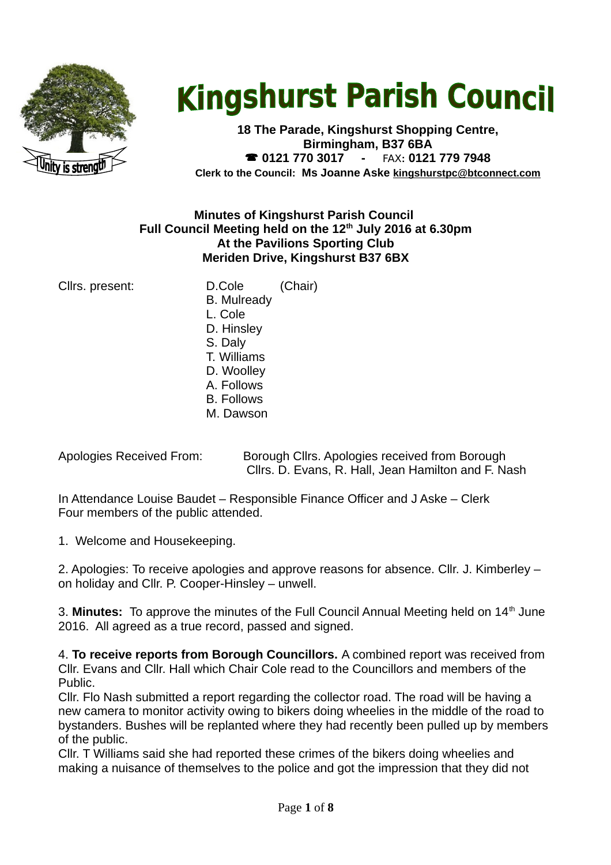

# **Kingshurst Parish Council**

**18 The Parade, Kingshurst Shopping Centre, Birmingham, B37 6BA 0121 770 3017 -** FAX**: 0121 779 7948 Clerk to the Council: Ms Joanne Aske [kingshurstpc@btconnect.com](mailto:kingshurstpc@btconnect.com)**

## **Minutes of Kingshurst Parish Council Full Council Meeting held on the 12th July 2016 at 6.30pm At the Pavilions Sporting Club Meriden Drive, Kingshurst B37 6BX**

Cllrs. present: D.Cole (Chair) B. Mulready L. Cole D. Hinsley S. Daly T. Williams D. Woolley A. Follows B. Follows M. Dawson

Apologies Received From: Borough Cllrs. Apologies received from Borough Cllrs. D. Evans, R. Hall, Jean Hamilton and F. Nash

In Attendance Louise Baudet – Responsible Finance Officer and J Aske – Clerk Four members of the public attended.

1. Welcome and Housekeeping.

2. Apologies: To receive apologies and approve reasons for absence. Cllr. J. Kimberley – on holiday and Cllr. P. Cooper-Hinsley – unwell.

3. Minutes: To approve the minutes of the Full Council Annual Meeting held on 14<sup>th</sup> June 2016. All agreed as a true record, passed and signed.

4. **To receive reports from Borough Councillors.** A combined report was received from Cllr. Evans and Cllr. Hall which Chair Cole read to the Councillors and members of the Public.

Cllr. Flo Nash submitted a report regarding the collector road. The road will be having a new camera to monitor activity owing to bikers doing wheelies in the middle of the road to bystanders. Bushes will be replanted where they had recently been pulled up by members of the public.

Cllr. T Williams said she had reported these crimes of the bikers doing wheelies and making a nuisance of themselves to the police and got the impression that they did not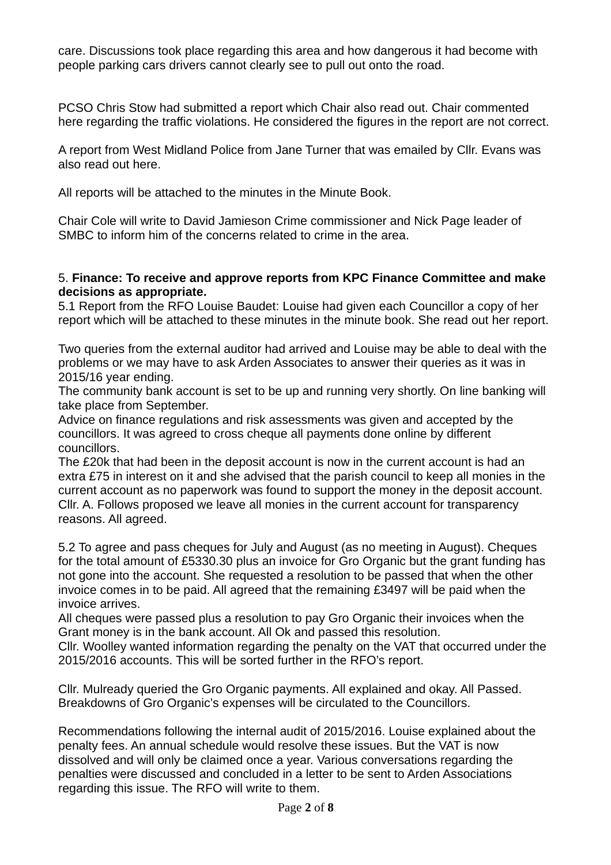care. Discussions took place regarding this area and how dangerous it had become with people parking cars drivers cannot clearly see to pull out onto the road.

PCSO Chris Stow had submitted a report which Chair also read out. Chair commented here regarding the traffic violations. He considered the figures in the report are not correct.

A report from West Midland Police from Jane Turner that was emailed by Cllr. Evans was also read out here.

All reports will be attached to the minutes in the Minute Book.

Chair Cole will write to David Jamieson Crime commissioner and Nick Page leader of SMBC to inform him of the concerns related to crime in the area.

#### 5. **Finance: To receive and approve reports from KPC Finance Committee and make decisions as appropriate.**

5.1 Report from the RFO Louise Baudet: Louise had given each Councillor a copy of her report which will be attached to these minutes in the minute book. She read out her report.

Two queries from the external auditor had arrived and Louise may be able to deal with the problems or we may have to ask Arden Associates to answer their queries as it was in 2015/16 year ending.

The community bank account is set to be up and running very shortly. On line banking will take place from September.

Advice on finance regulations and risk assessments was given and accepted by the councillors. It was agreed to cross cheque all payments done online by different councillors.

The £20k that had been in the deposit account is now in the current account is had an extra £75 in interest on it and she advised that the parish council to keep all monies in the current account as no paperwork was found to support the money in the deposit account. Cllr. A. Follows proposed we leave all monies in the current account for transparency reasons. All agreed.

5.2 To agree and pass cheques for July and August (as no meeting in August). Cheques for the total amount of £5330.30 plus an invoice for Gro Organic but the grant funding has not gone into the account. She requested a resolution to be passed that when the other invoice comes in to be paid. All agreed that the remaining £3497 will be paid when the invoice arrives.

All cheques were passed plus a resolution to pay Gro Organic their invoices when the Grant money is in the bank account. All Ok and passed this resolution.

Cllr. Woolley wanted information regarding the penalty on the VAT that occurred under the 2015/2016 accounts. This will be sorted further in the RFO's report.

Cllr. Mulready queried the Gro Organic payments. All explained and okay. All Passed. Breakdowns of Gro Organic's expenses will be circulated to the Councillors.

Recommendations following the internal audit of 2015/2016. Louise explained about the penalty fees. An annual schedule would resolve these issues. But the VAT is now dissolved and will only be claimed once a year. Various conversations regarding the penalties were discussed and concluded in a letter to be sent to Arden Associations regarding this issue. The RFO will write to them.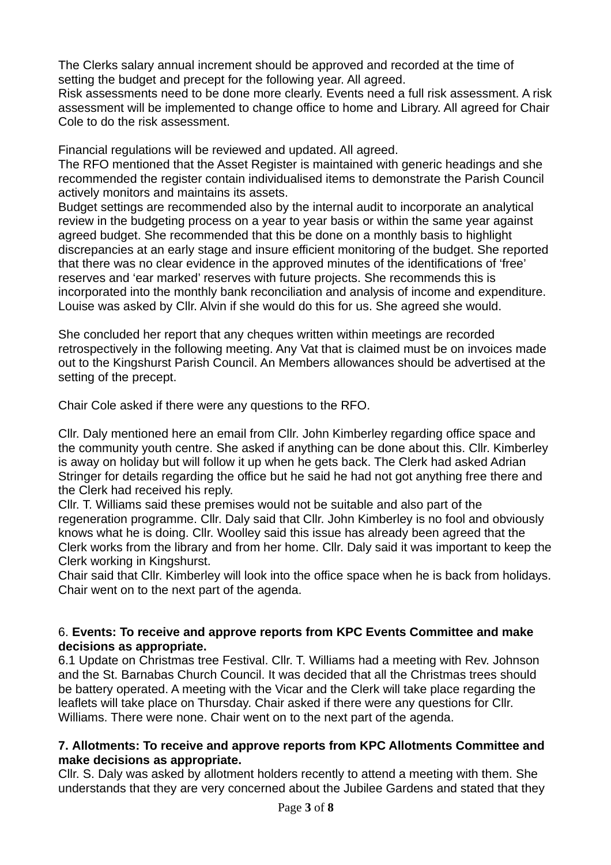The Clerks salary annual increment should be approved and recorded at the time of setting the budget and precept for the following year. All agreed.

Risk assessments need to be done more clearly. Events need a full risk assessment. A risk assessment will be implemented to change office to home and Library. All agreed for Chair Cole to do the risk assessment.

Financial regulations will be reviewed and updated. All agreed.

The RFO mentioned that the Asset Register is maintained with generic headings and she recommended the register contain individualised items to demonstrate the Parish Council actively monitors and maintains its assets.

Budget settings are recommended also by the internal audit to incorporate an analytical review in the budgeting process on a year to year basis or within the same year against agreed budget. She recommended that this be done on a monthly basis to highlight discrepancies at an early stage and insure efficient monitoring of the budget. She reported that there was no clear evidence in the approved minutes of the identifications of 'free' reserves and 'ear marked' reserves with future projects. She recommends this is incorporated into the monthly bank reconciliation and analysis of income and expenditure. Louise was asked by Cllr. Alvin if she would do this for us. She agreed she would.

She concluded her report that any cheques written within meetings are recorded retrospectively in the following meeting. Any Vat that is claimed must be on invoices made out to the Kingshurst Parish Council. An Members allowances should be advertised at the setting of the precept.

Chair Cole asked if there were any questions to the RFO.

Cllr. Daly mentioned here an email from Cllr. John Kimberley regarding office space and the community youth centre. She asked if anything can be done about this. Cllr. Kimberley is away on holiday but will follow it up when he gets back. The Clerk had asked Adrian Stringer for details regarding the office but he said he had not got anything free there and the Clerk had received his reply.

Cllr. T. Williams said these premises would not be suitable and also part of the regeneration programme. Cllr. Daly said that Cllr. John Kimberley is no fool and obviously knows what he is doing. Cllr. Woolley said this issue has already been agreed that the Clerk works from the library and from her home. Cllr. Daly said it was important to keep the Clerk working in Kingshurst.

Chair said that Cllr. Kimberley will look into the office space when he is back from holidays. Chair went on to the next part of the agenda.

# 6. **Events: To receive and approve reports from KPC Events Committee and make decisions as appropriate.**

6.1 Update on Christmas tree Festival. Cllr. T. Williams had a meeting with Rev. Johnson and the St. Barnabas Church Council. It was decided that all the Christmas trees should be battery operated. A meeting with the Vicar and the Clerk will take place regarding the leaflets will take place on Thursday. Chair asked if there were any questions for Cllr. Williams. There were none. Chair went on to the next part of the agenda.

## **7. Allotments: To receive and approve reports from KPC Allotments Committee and make decisions as appropriate.**

Cllr. S. Daly was asked by allotment holders recently to attend a meeting with them. She understands that they are very concerned about the Jubilee Gardens and stated that they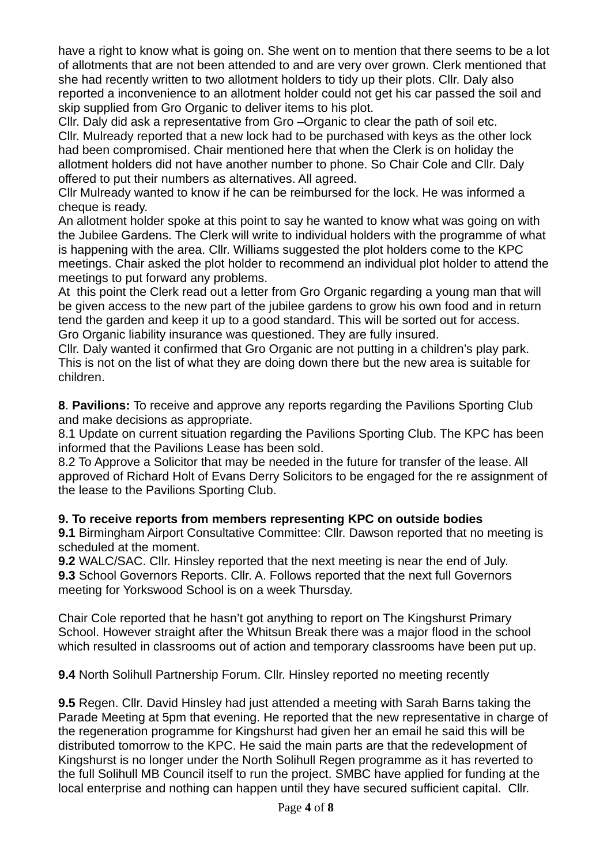have a right to know what is going on. She went on to mention that there seems to be a lot of allotments that are not been attended to and are very over grown. Clerk mentioned that she had recently written to two allotment holders to tidy up their plots. Cllr. Daly also reported a inconvenience to an allotment holder could not get his car passed the soil and skip supplied from Gro Organic to deliver items to his plot.

Cllr. Daly did ask a representative from Gro –Organic to clear the path of soil etc. Cllr. Mulready reported that a new lock had to be purchased with keys as the other lock had been compromised. Chair mentioned here that when the Clerk is on holiday the allotment holders did not have another number to phone. So Chair Cole and Cllr. Daly offered to put their numbers as alternatives. All agreed.

Cllr Mulready wanted to know if he can be reimbursed for the lock. He was informed a cheque is ready.

An allotment holder spoke at this point to say he wanted to know what was going on with the Jubilee Gardens. The Clerk will write to individual holders with the programme of what is happening with the area. Cllr. Williams suggested the plot holders come to the KPC meetings. Chair asked the plot holder to recommend an individual plot holder to attend the meetings to put forward any problems.

At this point the Clerk read out a letter from Gro Organic regarding a young man that will be given access to the new part of the jubilee gardens to grow his own food and in return tend the garden and keep it up to a good standard. This will be sorted out for access. Gro Organic liability insurance was questioned. They are fully insured.

Cllr. Daly wanted it confirmed that Gro Organic are not putting in a children's play park. This is not on the list of what they are doing down there but the new area is suitable for children.

**8**. **Pavilions:** To receive and approve any reports regarding the Pavilions Sporting Club and make decisions as appropriate.

8.1 Update on current situation regarding the Pavilions Sporting Club. The KPC has been informed that the Pavilions Lease has been sold.

8.2 To Approve a Solicitor that may be needed in the future for transfer of the lease. All approved of Richard Holt of Evans Derry Solicitors to be engaged for the re assignment of the lease to the Pavilions Sporting Club.

# **9. To receive reports from members representing KPC on outside bodies**

**9.1** Birmingham Airport Consultative Committee: Cllr. Dawson reported that no meeting is scheduled at the moment.

**9.2** WALC/SAC. Cllr. Hinsley reported that the next meeting is near the end of July. **9.3** School Governors Reports. Cllr. A. Follows reported that the next full Governors meeting for Yorkswood School is on a week Thursday.

Chair Cole reported that he hasn't got anything to report on The Kingshurst Primary School. However straight after the Whitsun Break there was a major flood in the school which resulted in classrooms out of action and temporary classrooms have been put up.

**9.4** North Solihull Partnership Forum. Cllr. Hinsley reported no meeting recently

**9.5** Regen. Cllr. David Hinsley had just attended a meeting with Sarah Barns taking the Parade Meeting at 5pm that evening. He reported that the new representative in charge of the regeneration programme for Kingshurst had given her an email he said this will be distributed tomorrow to the KPC. He said the main parts are that the redevelopment of Kingshurst is no longer under the North Solihull Regen programme as it has reverted to the full Solihull MB Council itself to run the project. SMBC have applied for funding at the local enterprise and nothing can happen until they have secured sufficient capital. Cllr.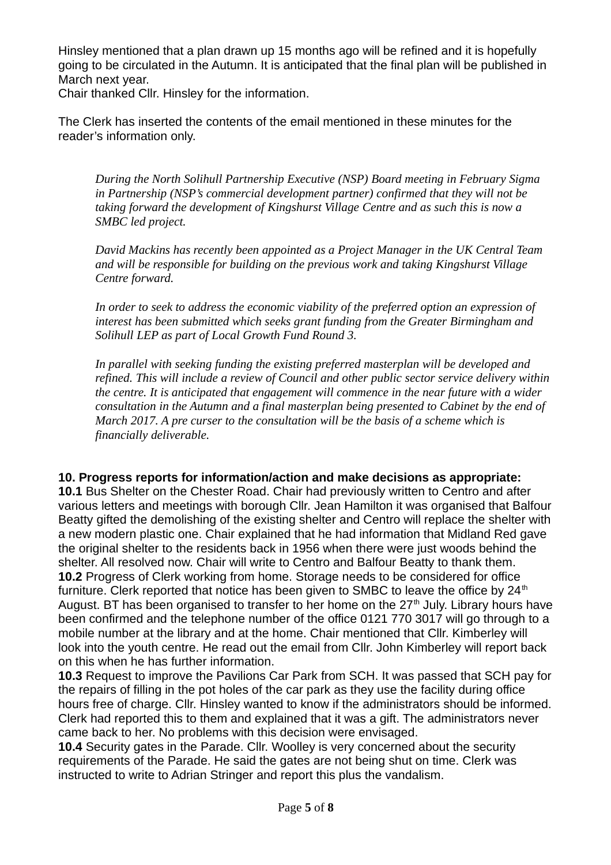Hinsley mentioned that a plan drawn up 15 months ago will be refined and it is hopefully going to be circulated in the Autumn. It is anticipated that the final plan will be published in March next year.

Chair thanked Cllr. Hinsley for the information.

The Clerk has inserted the contents of the email mentioned in these minutes for the reader's information only.

*During the North Solihull Partnership Executive (NSP) Board meeting in February Sigma in Partnership (NSP's commercial development partner) confirmed that they will not be taking forward the development of Kingshurst Village Centre and as such this is now a SMBC led project.*

*David Mackins has recently been appointed as a Project Manager in the UK Central Team and will be responsible for building on the previous work and taking Kingshurst Village Centre forward.*

*In order to seek to address the economic viability of the preferred option an expression of interest has been submitted which seeks grant funding from the Greater Birmingham and Solihull LEP as part of Local Growth Fund Round 3.*

*In parallel with seeking funding the existing preferred masterplan will be developed and refined. This will include a review of Council and other public sector service delivery within the centre. It is anticipated that engagement will commence in the near future with a wider consultation in the Autumn and a final masterplan being presented to Cabinet by the end of March 2017. A pre curser to the consultation will be the basis of a scheme which is financially deliverable.*

#### **10. Progress reports for information/action and make decisions as appropriate:**

**10.1** Bus Shelter on the Chester Road. Chair had previously written to Centro and after various letters and meetings with borough Cllr. Jean Hamilton it was organised that Balfour Beatty gifted the demolishing of the existing shelter and Centro will replace the shelter with a new modern plastic one. Chair explained that he had information that Midland Red gave the original shelter to the residents back in 1956 when there were just woods behind the shelter. All resolved now. Chair will write to Centro and Balfour Beatty to thank them. **10.2** Progress of Clerk working from home. Storage needs to be considered for office furniture. Clerk reported that notice has been given to SMBC to leave the office by  $24<sup>th</sup>$ August. BT has been organised to transfer to her home on the  $27<sup>th</sup>$  July. Library hours have been confirmed and the telephone number of the office 0121 770 3017 will go through to a mobile number at the library and at the home. Chair mentioned that Cllr. Kimberley will look into the youth centre. He read out the email from Cllr. John Kimberley will report back on this when he has further information.

**10.3** Request to improve the Pavilions Car Park from SCH. It was passed that SCH pay for the repairs of filling in the pot holes of the car park as they use the facility during office hours free of charge. Cllr. Hinsley wanted to know if the administrators should be informed. Clerk had reported this to them and explained that it was a gift. The administrators never came back to her. No problems with this decision were envisaged.

**10.4** Security gates in the Parade. Cllr. Woolley is very concerned about the security requirements of the Parade. He said the gates are not being shut on time. Clerk was instructed to write to Adrian Stringer and report this plus the vandalism.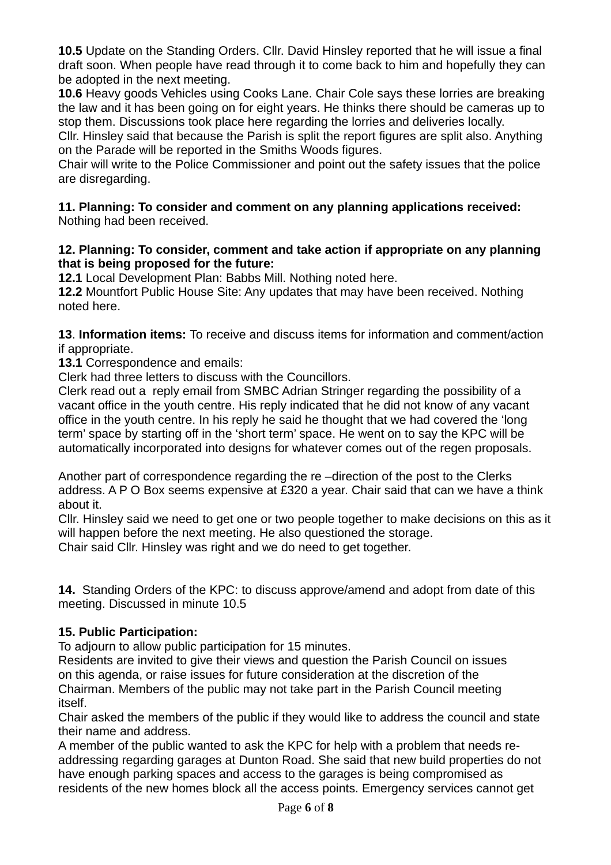**10.5** Update on the Standing Orders. Cllr. David Hinsley reported that he will issue a final draft soon. When people have read through it to come back to him and hopefully they can be adopted in the next meeting.

**10.6** Heavy goods Vehicles using Cooks Lane. Chair Cole says these lorries are breaking the law and it has been going on for eight years. He thinks there should be cameras up to stop them. Discussions took place here regarding the lorries and deliveries locally.

Cllr. Hinsley said that because the Parish is split the report figures are split also. Anything on the Parade will be reported in the Smiths Woods figures.

Chair will write to the Police Commissioner and point out the safety issues that the police are disregarding.

#### **11. Planning: To consider and comment on any planning applications received:**  Nothing had been received.

## **12. Planning: To consider, comment and take action if appropriate on any planning that is being proposed for the future:**

**12.1** Local Development Plan: Babbs Mill. Nothing noted here.

**12.2** Mountfort Public House Site: Any updates that may have been received. Nothing noted here.

**13**. **Information items:** To receive and discuss items for information and comment/action if appropriate.

**13.1** Correspondence and emails:

Clerk had three letters to discuss with the Councillors.

Clerk read out a reply email from SMBC Adrian Stringer regarding the possibility of a vacant office in the youth centre. His reply indicated that he did not know of any vacant office in the youth centre. In his reply he said he thought that we had covered the 'long term' space by starting off in the 'short term' space. He went on to say the KPC will be automatically incorporated into designs for whatever comes out of the regen proposals.

Another part of correspondence regarding the re –direction of the post to the Clerks address. A P O Box seems expensive at £320 a year. Chair said that can we have a think about it.

Cllr. Hinsley said we need to get one or two people together to make decisions on this as it will happen before the next meeting. He also questioned the storage.

Chair said Cllr. Hinsley was right and we do need to get together.

**14.** Standing Orders of the KPC: to discuss approve/amend and adopt from date of this meeting. Discussed in minute 10.5

# **15. Public Participation:**

To adjourn to allow public participation for 15 minutes.

Residents are invited to give their views and question the Parish Council on issues on this agenda, or raise issues for future consideration at the discretion of the Chairman. Members of the public may not take part in the Parish Council meeting itself.

Chair asked the members of the public if they would like to address the council and state their name and address.

A member of the public wanted to ask the KPC for help with a problem that needs readdressing regarding garages at Dunton Road. She said that new build properties do not have enough parking spaces and access to the garages is being compromised as residents of the new homes block all the access points. Emergency services cannot get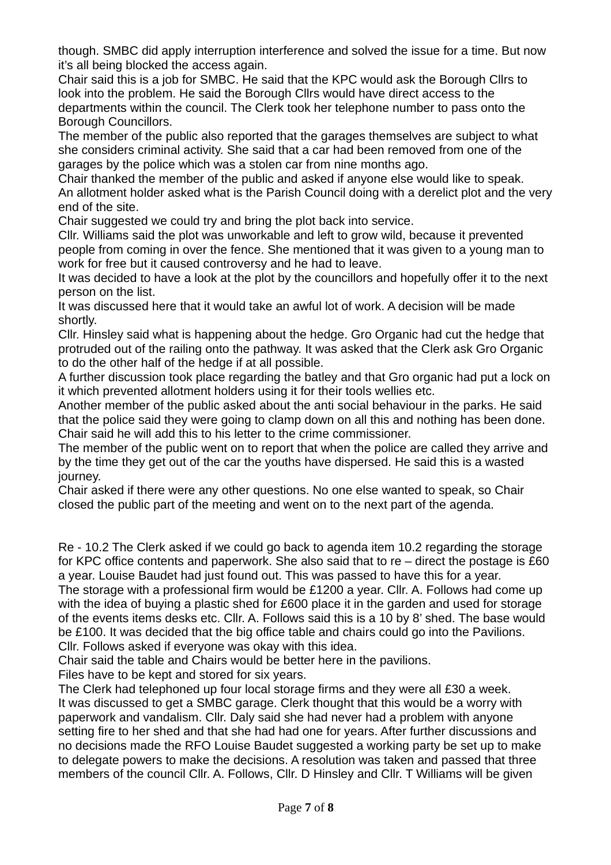though. SMBC did apply interruption interference and solved the issue for a time. But now it's all being blocked the access again.

Chair said this is a job for SMBC. He said that the KPC would ask the Borough Cllrs to look into the problem. He said the Borough Cllrs would have direct access to the departments within the council. The Clerk took her telephone number to pass onto the Borough Councillors.

The member of the public also reported that the garages themselves are subject to what she considers criminal activity. She said that a car had been removed from one of the garages by the police which was a stolen car from nine months ago.

Chair thanked the member of the public and asked if anyone else would like to speak. An allotment holder asked what is the Parish Council doing with a derelict plot and the very end of the site.

Chair suggested we could try and bring the plot back into service.

Cllr. Williams said the plot was unworkable and left to grow wild, because it prevented people from coming in over the fence. She mentioned that it was given to a young man to work for free but it caused controversy and he had to leave.

It was decided to have a look at the plot by the councillors and hopefully offer it to the next person on the list.

It was discussed here that it would take an awful lot of work. A decision will be made shortly.

Cllr. Hinsley said what is happening about the hedge. Gro Organic had cut the hedge that protruded out of the railing onto the pathway. It was asked that the Clerk ask Gro Organic to do the other half of the hedge if at all possible.

A further discussion took place regarding the batley and that Gro organic had put a lock on it which prevented allotment holders using it for their tools wellies etc.

Another member of the public asked about the anti social behaviour in the parks. He said that the police said they were going to clamp down on all this and nothing has been done. Chair said he will add this to his letter to the crime commissioner.

The member of the public went on to report that when the police are called they arrive and by the time they get out of the car the youths have dispersed. He said this is a wasted journey.

Chair asked if there were any other questions. No one else wanted to speak, so Chair closed the public part of the meeting and went on to the next part of the agenda.

Re - 10.2 The Clerk asked if we could go back to agenda item 10.2 regarding the storage for KPC office contents and paperwork. She also said that to re – direct the postage is £60 a year. Louise Baudet had just found out. This was passed to have this for a year.

The storage with a professional firm would be £1200 a year. Cllr. A. Follows had come up with the idea of buying a plastic shed for £600 place it in the garden and used for storage of the events items desks etc. Cllr. A. Follows said this is a 10 by 8' shed. The base would be £100. It was decided that the big office table and chairs could go into the Pavilions. Cllr. Follows asked if everyone was okay with this idea.

Chair said the table and Chairs would be better here in the pavilions.

Files have to be kept and stored for six years.

The Clerk had telephoned up four local storage firms and they were all £30 a week. It was discussed to get a SMBC garage. Clerk thought that this would be a worry with paperwork and vandalism. Cllr. Daly said she had never had a problem with anyone setting fire to her shed and that she had had one for years. After further discussions and no decisions made the RFO Louise Baudet suggested a working party be set up to make to delegate powers to make the decisions. A resolution was taken and passed that three members of the council Cllr. A. Follows, Cllr. D Hinsley and Cllr. T Williams will be given